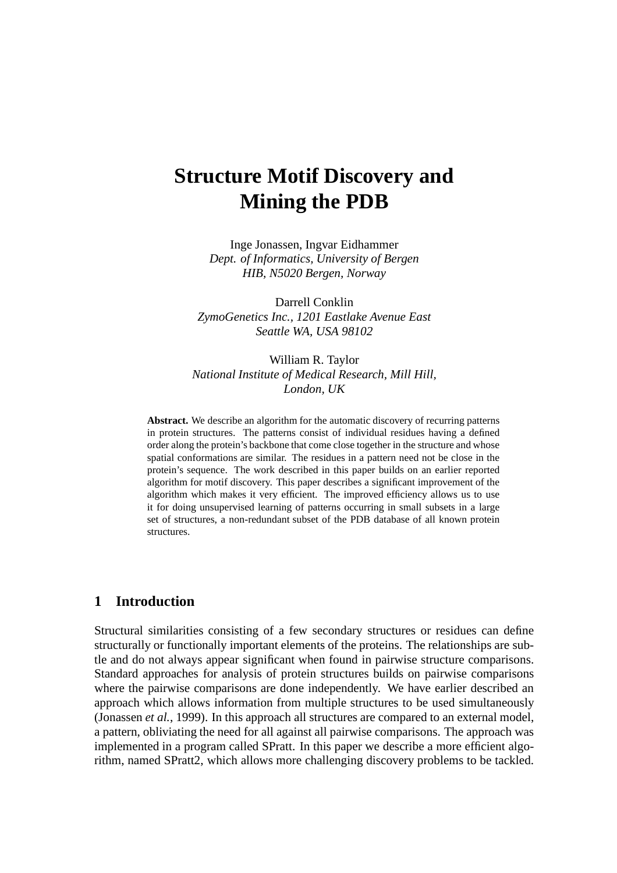# **Structure Motif Discovery and Mining the PDB**

Inge Jonassen, Ingvar Eidhammer *Dept. of Informatics, University of Bergen HIB, N5020 Bergen, Norway*

Darrell Conklin *ZymoGenetics Inc., 1201 Eastlake Avenue East Seattle WA, USA 98102*

William R. Taylor *National Institute of Medical Research, Mill Hill, London, UK*

**Abstract.** We describe an algorithm for the automatic discovery of recurring patterns in protein structures. The patterns consist of individual residues having a defined order along the protein's backbone that come close together in the structure and whose spatial conformations are similar. The residues in a pattern need not be close in the protein's sequence. The work described in this paper builds on an earlier reported algorithm for motif discovery. This paper describes a significant improvement of the algorithm which makes it very efficient. The improved efficiency allows us to use it for doing unsupervised learning of patterns occurring in small subsets in a large set of structures, a non-redundant subset of the PDB database of all known protein structures.

# **1 Introduction**

Structural similarities consisting of a few secondary structures or residues can define structurally or functionally important elements of the proteins. The relationships are subtle and do not always appear significant when found in pairwise structure comparisons. Standard approaches for analysis of protein structures builds on pairwise comparisons where the pairwise comparisons are done independently. We have earlier described an approach which allows information from multiple structures to be used simultaneously (Jonassen *et al.*, 1999). In this approach all structures are compared to an external model, a pattern, obliviating the need for all against all pairwise comparisons. The approach was implemented in a program called SPratt. In this paper we describe a more efficient algorithm, named SPratt2, which allows more challenging discovery problems to be tackled.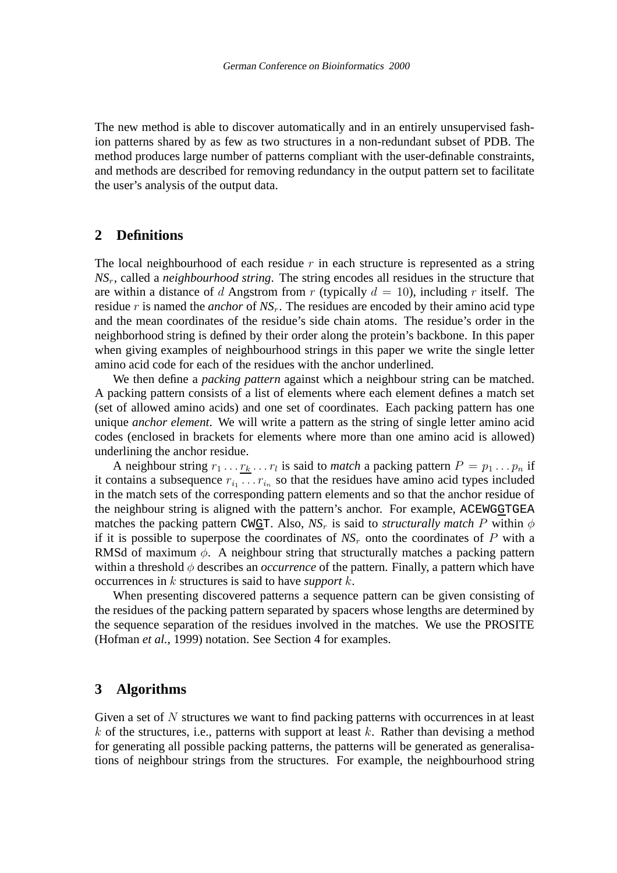The new method is able to discover automatically and in an entirely unsupervised fashion patterns shared by as few as two structures in a non-redundant subset of PDB. The method produces large number of patterns compliant with the user-definable constraints, and methods are described for removing redundancy in the output pattern set to facilitate the user's analysis of the output data.

### **2 Definitions**

The local neighbourhood of each residue  $r$  in each structure is represented as a string *NS*r, called a *neighbourhood string*. The string encodes all residues in the structure that are within a distance of d Angstrom from r (typically  $d = 10$ ), including r itself. The residue r is named the *anchor* of  $NS<sub>r</sub>$ . The residues are encoded by their amino acid type and the mean coordinates of the residue's side chain atoms. The residue's order in the neighborhood string is defined by their order along the protein's backbone. In this paper when giving examples of neighbourhood strings in this paper we write the single letter amino acid code for each of the residues with the anchor underlined.

We then define a *packing pattern* against which a neighbour string can be matched. A packing pattern consists of a list of elements where each element defines a match set (set of allowed amino acids) and one set of coordinates. Each packing pattern has one unique *anchor element*. We will write a pattern as the string of single letter amino acid codes (enclosed in brackets for elements where more than one amino acid is allowed) underlining the anchor residue.

A neighbour string  $r_1 \dots r_k \dots r_l$  is said to *match* a packing pattern  $P = p_1 \dots p_n$  if it contains a subsequence  $r_{i_1} \ldots r_{i_n}$  so that the residues have amino acid types included in the match sets of the corresponding pattern elements and so that the anchor residue of the neighbour string is aligned with the pattern's anchor. For example, ACEWGGTGEA matches the packing pattern CWGT. Also,  $NS<sub>r</sub>$  is said to *structurally match* P within  $\phi$ if it is possible to superpose the coordinates of  $NS<sub>r</sub>$  onto the coordinates of P with a RMSd of maximum  $\phi$ . A neighbour string that structurally matches a packing pattern within a threshold  $\phi$  describes an *occurrence* of the pattern. Finally, a pattern which have occurrences in k structures is said to have *support* k.

When presenting discovered patterns a sequence pattern can be given consisting of the residues of the packing pattern separated by spacers whose lengths are determined by the sequence separation of the residues involved in the matches. We use the PROSITE (Hofman *et al.*, 1999) notation. See Section 4 for examples.

# **3 Algorithms**

Given a set of  $N$  structures we want to find packing patterns with occurrences in at least k of the structures, i.e., patterns with support at least k. Rather than devising a method for generating all possible packing patterns, the patterns will be generated as generalisations of neighbour strings from the structures. For example, the neighbourhood string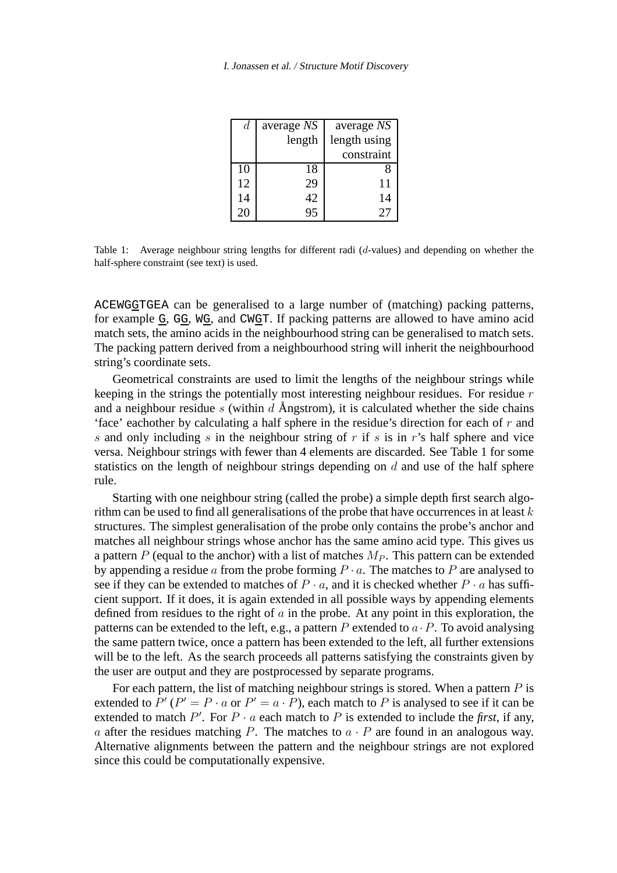#### I. Jonassen et al. / Structure Motif Discovery

| d  | average NS | average NS   |
|----|------------|--------------|
|    | length     | length using |
|    |            | constraint   |
| 10 | 18         |              |
| 12 | 29         | 11           |
| 14 | 42         | 14           |
| 20 | 95         | $\gamma$     |

Table 1: Average neighbour string lengths for different radi (d-values) and depending on whether the half-sphere constraint (see text) is used.

ACEWGGTGEA can be generalised to a large number of (matching) packing patterns, for example G, GG, WG, and CWGT. If packing patterns are allowed to have amino acid match sets, the amino acids in the neighbourhood string can be generalised to match sets. The packing pattern derived from a neighbourhood string will inherit the neighbourhood string's coordinate sets.

Geometrical constraints are used to limit the lengths of the neighbour strings while keeping in the strings the potentially most interesting neighbour residues. For residue r and a neighbour residue s (within d Angstrom), it is calculated whether the side chains 'face' eachother by calculating a half sphere in the residue's direction for each of  $r$  and s and only including s in the neighbour string of  $r$  if s is in r's half sphere and vice versa. Neighbour strings with fewer than 4 elements are discarded. See Table 1 for some statistics on the length of neighbour strings depending on  $d$  and use of the half sphere rule.

Starting with one neighbour string (called the probe) a simple depth first search algorithm can be used to find all generalisations of the probe that have occurrences in at least  $k$ structures. The simplest generalisation of the probe only contains the probe's anchor and matches all neighbour strings whose anchor has the same amino acid type. This gives us a pattern  $P$  (equal to the anchor) with a list of matches  $M_P$ . This pattern can be extended by appending a residue a from the probe forming  $P \cdot a$ . The matches to P are analysed to see if they can be extended to matches of  $P \cdot a$ , and it is checked whether  $P \cdot a$  has sufficient support. If it does, it is again extended in all possible ways by appending elements defined from residues to the right of  $\alpha$  in the probe. At any point in this exploration, the patterns can be extended to the left, e.g., a pattern P extended to  $a \cdot P$ . To avoid analysing the same pattern twice, once a pattern has been extended to the left, all further extensions will be to the left. As the search proceeds all patterns satisfying the constraints given by the user are output and they are postprocessed by separate programs.

For each pattern, the list of matching neighbour strings is stored. When a pattern  $P$  is extended to  $P'(P' = P \cdot a$  or  $P' = a \cdot P$ ), each match to P is analysed to see if it can be extended to match  $P'$ . For  $P \cdot a$  each match to  $P$  is extended to include the *first*, if any, a after the residues matching P. The matches to  $a \cdot P$  are found in an analogous way. Alternative alignments between the pattern and the neighbour strings are not explored since this could be computationally expensive.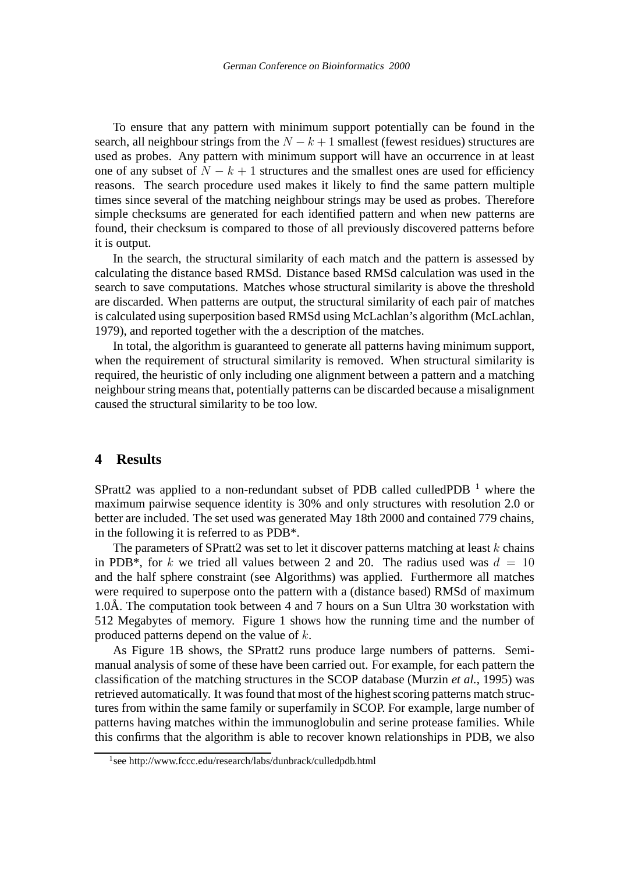To ensure that any pattern with minimum support potentially can be found in the search, all neighbour strings from the  $N - k + 1$  smallest (fewest residues) structures are used as probes. Any pattern with minimum support will have an occurrence in at least one of any subset of  $N - k + 1$  structures and the smallest ones are used for efficiency reasons. The search procedure used makes it likely to find the same pattern multiple times since several of the matching neighbour strings may be used as probes. Therefore simple checksums are generated for each identified pattern and when new patterns are found, their checksum is compared to those of all previously discovered patterns before it is output.

In the search, the structural similarity of each match and the pattern is assessed by calculating the distance based RMSd. Distance based RMSd calculation was used in the search to save computations. Matches whose structural similarity is above the threshold are discarded. When patterns are output, the structural similarity of each pair of matches is calculated using superposition based RMSd using McLachlan's algorithm (McLachlan, 1979), and reported together with the a description of the matches.

In total, the algorithm is guaranteed to generate all patterns having minimum support, when the requirement of structural similarity is removed. When structural similarity is required, the heuristic of only including one alignment between a pattern and a matching neighbourstring means that, potentially patterns can be discarded because a misalignment caused the structural similarity to be too low.

### **4 Results**

SPratt2 was applied to a non-redundant subset of PDB called culledPDB  $<sup>1</sup>$  where the</sup> maximum pairwise sequence identity is 30% and only structures with resolution 2.0 or better are included. The set used was generated May 18th 2000 and contained 779 chains, in the following it is referred to as PDB\*.

The parameters of SPratt2 was set to let it discover patterns matching at least  $k$  chains in PDB<sup>\*</sup>, for k we tried all values between 2 and 20. The radius used was  $d = 10$ and the half sphere constraint (see Algorithms) was applied. Furthermore all matches were required to superpose onto the pattern with a (distance based) RMSd of maximum 1.0Å. The computation took between 4 and 7 hours on a Sun Ultra 30 workstation with 512 Megabytes of memory. Figure 1 shows how the running time and the number of produced patterns depend on the value of k.

As Figure 1B shows, the SPratt2 runs produce large numbers of patterns. Semimanual analysis of some of these have been carried out. For example, for each pattern the classification of the matching structures in the SCOP database (Murzin *et al.*, 1995) was retrieved automatically. It was found that most of the highest scoring patterns match structures from within the same family or superfamily in SCOP. For example, large number of patterns having matches within the immunoglobulin and serine protease families. While this confirms that the algorithm is able to recover known relationships in PDB, we also

<sup>1</sup> see http://www.fccc.edu/research/labs/dunbrack/culledpdb.html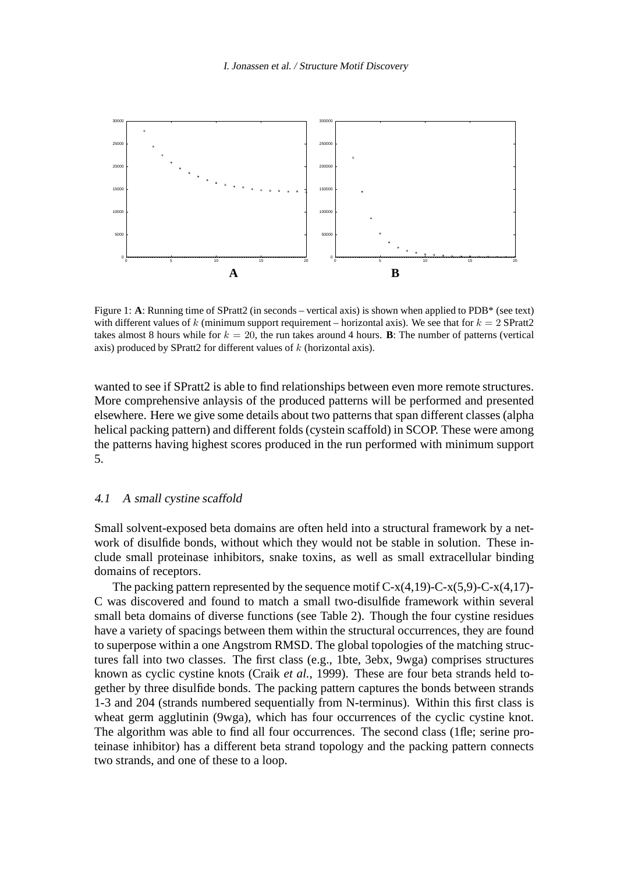

Figure 1: **A**: Running time of SPratt2 (in seconds – vertical axis) is shown when applied to PDB\* (see text) with different values of k (minimum support requirement – horizontal axis). We see that for  $k = 2$  SPratt2 takes almost 8 hours while for  $k = 20$ , the run takes around 4 hours. **B**: The number of patterns (vertical axis) produced by SPratt2 for different values of  $k$  (horizontal axis).

wanted to see if SPratt2 is able to find relationships between even more remote structures. More comprehensive anlaysis of the produced patterns will be performed and presented elsewhere. Here we give some details about two patterns that span different classes (alpha helical packing pattern) and different folds (cystein scaffold) in SCOP. These were among the patterns having highest scores produced in the run performed with minimum support 5.

#### 4.1 A small cystine scaffold

Small solvent-exposed beta domains are often held into a structural framework by a network of disulfide bonds, without which they would not be stable in solution. These include small proteinase inhibitors, snake toxins, as well as small extracellular binding domains of receptors.

The packing pattern represented by the sequence motif  $C-x(4,19)$ -C- $x(5,9)$ -C- $x(4,17)$ -C was discovered and found to match a small two-disulfide framework within several small beta domains of diverse functions (see Table 2). Though the four cystine residues have a variety of spacings between them within the structural occurrences, they are found to superpose within a one Angstrom RMSD. The global topologies of the matching structures fall into two classes. The first class (e.g., 1bte, 3ebx, 9wga) comprises structures known as cyclic cystine knots (Craik *et al.*, 1999). These are four beta strands held together by three disulfide bonds. The packing pattern captures the bonds between strands 1-3 and 204 (strands numbered sequentially from N-terminus). Within this first class is wheat germ agglutinin (9wga), which has four occurrences of the cyclic cystine knot. The algorithm was able to find all four occurrences. The second class (1fle; serine proteinase inhibitor) has a different beta strand topology and the packing pattern connects two strands, and one of these to a loop.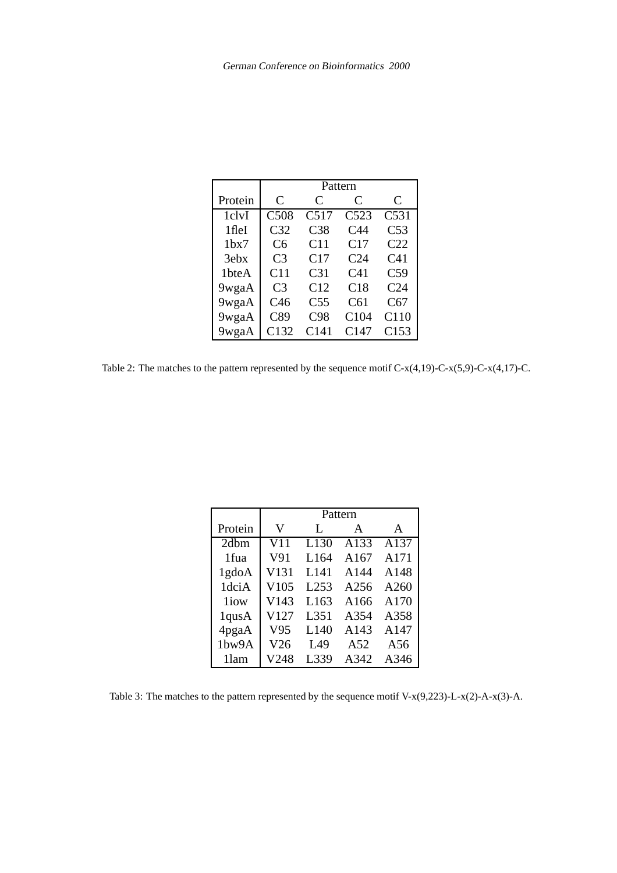|                  | Pattern         |                 |                 |                 |  |
|------------------|-----------------|-----------------|-----------------|-----------------|--|
| Protein          | C               | C               | C               | C               |  |
| 1clvI            | C508            | C517            | C523            | C531            |  |
| 1fleI            | C <sub>32</sub> | C <sub>38</sub> | C <sub>44</sub> | C53             |  |
| 1 <sub>bx7</sub> | C6              | C11             | C17             | C <sub>22</sub> |  |
| 3ebx             | C <sub>3</sub>  | C17             | C24             | C <sub>41</sub> |  |
| 1bteA            | C11             | C <sub>31</sub> | C <sub>41</sub> | C <sub>59</sub> |  |
| 9wgaA            | C <sub>3</sub>  | C12             | C18             | C <sub>24</sub> |  |
| 9wgaA            | C46             | C <sub>55</sub> | C61             | C67             |  |
| 9wgaA            | C89             | C98             | C104            | C110            |  |
| 9wgaA            | C132            | C141            | C147            | C153            |  |

Table 2: The matches to the pattern represented by the sequence motif  $C-x(4,19)$ -C- $x(5,9)$ -C- $x(4,17)$ -C.

|         | Pattern |                  |      |      |  |
|---------|---------|------------------|------|------|--|
| Protein | V       | L                | A    | A    |  |
| 2dbm    | V11     | L <sub>130</sub> | A133 | A137 |  |
| 1fua    | V91     | L164             | A167 | A171 |  |
| 1gdoA   | V131    | L141             | A144 | A148 |  |
| 1dciA   | V105    | L <sub>253</sub> | A256 | A260 |  |
| 1iow    | V143    | L <sub>163</sub> | A166 | A170 |  |
| 1qusA   | V127    | L351             | A354 | A358 |  |
| 4pgaA   | V95     | L <sub>140</sub> | A143 | A147 |  |
| 1bw9A   | V26     | L49              | A52  | A56  |  |
| 11am    | V248    | L339             | A342 | A346 |  |

Table 3: The matches to the pattern represented by the sequence motif V-x(9,223)-L-x(2)-A-x(3)-A.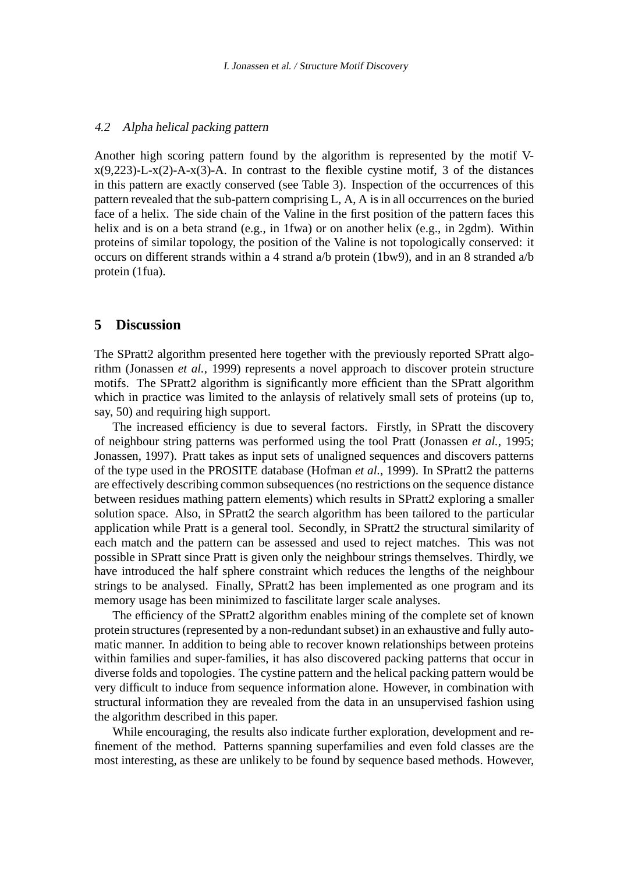#### 4.2 Alpha helical packing pattern

Another high scoring pattern found by the algorithm is represented by the motif V $x(9,223)$ -L- $x(2)$ -A- $x(3)$ -A. In contrast to the flexible cystine motif, 3 of the distances in this pattern are exactly conserved (see Table 3). Inspection of the occurrences of this pattern revealed that the sub-pattern comprising L, A, A is in all occurrences on the buried face of a helix. The side chain of the Valine in the first position of the pattern faces this helix and is on a beta strand (e.g., in 1fwa) or on another helix (e.g., in 2gdm). Within proteins of similar topology, the position of the Valine is not topologically conserved: it occurs on different strands within a 4 strand a/b protein (1bw9), and in an 8 stranded a/b protein (1fua).

## **5 Discussion**

The SPratt2 algorithm presented here together with the previously reported SPratt algorithm (Jonassen *et al.*, 1999) represents a novel approach to discover protein structure motifs. The SPratt2 algorithm is significantly more efficient than the SPratt algorithm which in practice was limited to the anlaysis of relatively small sets of proteins (up to, say, 50) and requiring high support.

The increased efficiency is due to several factors. Firstly, in SPratt the discovery of neighbour string patterns was performed using the tool Pratt (Jonassen *et al.*, 1995; Jonassen, 1997). Pratt takes as input sets of unaligned sequences and discovers patterns of the type used in the PROSITE database (Hofman *et al.*, 1999). In SPratt2 the patterns are effectively describing common subsequences(no restrictions on the sequence distance between residues mathing pattern elements) which results in SPratt2 exploring a smaller solution space. Also, in SPratt2 the search algorithm has been tailored to the particular application while Pratt is a general tool. Secondly, in SPratt2 the structural similarity of each match and the pattern can be assessed and used to reject matches. This was not possible in SPratt since Pratt is given only the neighbour strings themselves. Thirdly, we have introduced the half sphere constraint which reduces the lengths of the neighbour strings to be analysed. Finally, SPratt2 has been implemented as one program and its memory usage has been minimized to fascilitate larger scale analyses.

The efficiency of the SPratt2 algorithm enables mining of the complete set of known protein structures (represented by a non-redundant subset) in an exhaustive and fully automatic manner. In addition to being able to recover known relationships between proteins within families and super-families, it has also discovered packing patterns that occur in diverse folds and topologies. The cystine pattern and the helical packing pattern would be very difficult to induce from sequence information alone. However, in combination with structural information they are revealed from the data in an unsupervised fashion using the algorithm described in this paper.

While encouraging, the results also indicate further exploration, development and refinement of the method. Patterns spanning superfamilies and even fold classes are the most interesting, as these are unlikely to be found by sequence based methods. However,